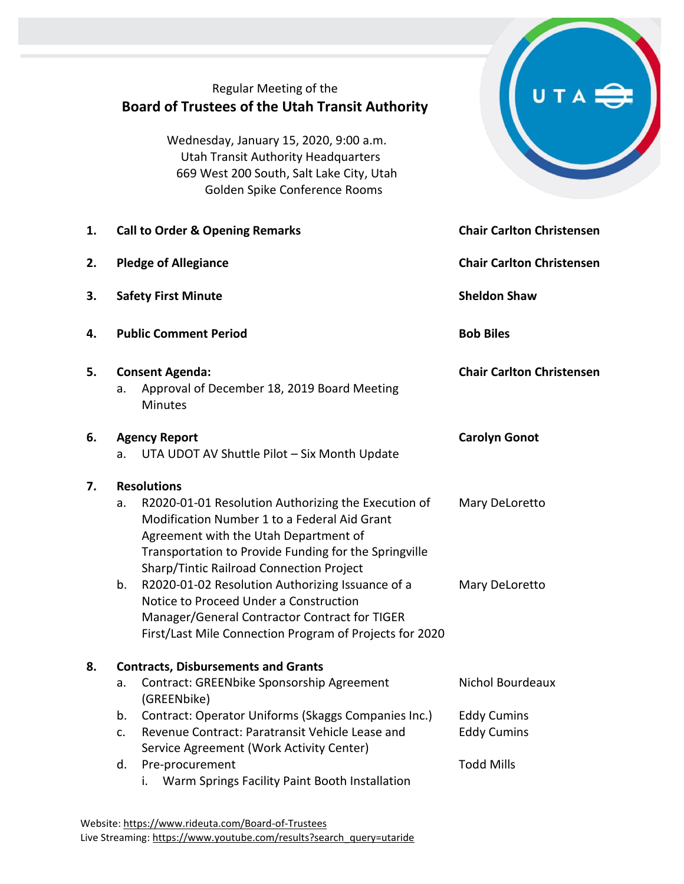## Regular Meeting of the **Board of Trustees of the Utah Transit Authority**

Wednesday, January 15, 2020, 9:00 a.m. Utah Transit Authority Headquarters 669 West 200 South, Salt Lake City, Utah Golden Spike Conference Rooms